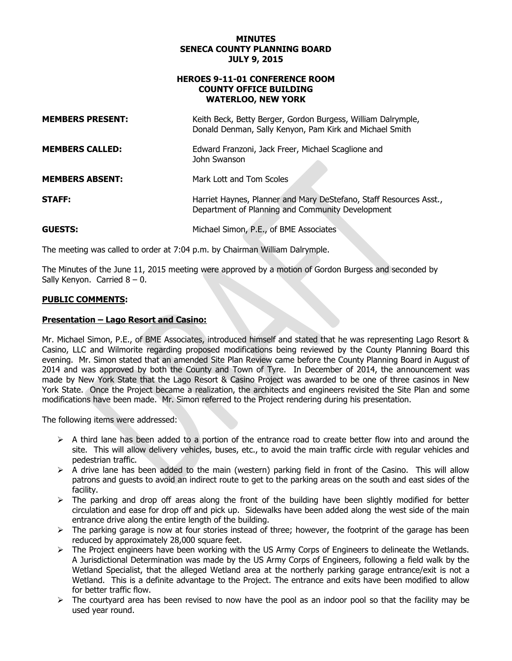#### **MINUTES SENECA COUNTY PLANNING BOARD JULY 9, 2015**

#### **HEROES 9-11-01 CONFERENCE ROOM COUNTY OFFICE BUILDING WATERLOO, NEW YORK**

| <b>MEMBERS PRESENT:</b> | Keith Beck, Betty Berger, Gordon Burgess, William Dalrymple,<br>Donald Denman, Sally Kenyon, Pam Kirk and Michael Smith |
|-------------------------|-------------------------------------------------------------------------------------------------------------------------|
| <b>MEMBERS CALLED:</b>  | Edward Franzoni, Jack Freer, Michael Scaglione and<br>John Swanson                                                      |
| <b>MEMBERS ABSENT:</b>  | Mark Lott and Tom Scoles                                                                                                |
| <b>STAFF:</b>           | Harriet Haynes, Planner and Mary DeStefano, Staff Resources Asst.,<br>Department of Planning and Community Development  |
| <b>GUESTS:</b>          | Michael Simon, P.E., of BME Associates                                                                                  |

The meeting was called to order at 7:04 p.m. by Chairman William Dalrymple.

The Minutes of the June 11, 2015 meeting were approved by a motion of Gordon Burgess and seconded by Sally Kenyon. Carried  $8 - 0$ .

# **PUBLIC COMMENTS:**

# **Presentation – Lago Resort and Casino:**

Mr. Michael Simon, P.E., of BME Associates, introduced himself and stated that he was representing Lago Resort & Casino, LLC and Wilmorite regarding proposed modifications being reviewed by the County Planning Board this evening. Mr. Simon stated that an amended Site Plan Review came before the County Planning Board in August of 2014 and was approved by both the County and Town of Tyre. In December of 2014, the announcement was made by New York State that the Lago Resort & Casino Project was awarded to be one of three casinos in New York State. Once the Project became a realization, the architects and engineers revisited the Site Plan and some modifications have been made. Mr. Simon referred to the Project rendering during his presentation.

The following items were addressed:

- $\triangleright$  A third lane has been added to a portion of the entrance road to create better flow into and around the site. This will allow delivery vehicles, buses, etc., to avoid the main traffic circle with regular vehicles and pedestrian traffic.
- $\triangleright$  A drive lane has been added to the main (western) parking field in front of the Casino. This will allow patrons and guests to avoid an indirect route to get to the parking areas on the south and east sides of the facility.
- $\triangleright$  The parking and drop off areas along the front of the building have been slightly modified for better circulation and ease for drop off and pick up. Sidewalks have been added along the west side of the main entrance drive along the entire length of the building.
- $\triangleright$  The parking garage is now at four stories instead of three; however, the footprint of the garage has been reduced by approximately 28,000 square feet.
- $\triangleright$  The Project engineers have been working with the US Army Corps of Engineers to delineate the Wetlands. A Jurisdictional Determination was made by the US Army Corps of Engineers, following a field walk by the Wetland Specialist, that the alleged Wetland area at the northerly parking garage entrance/exit is not a Wetland. This is a definite advantage to the Project. The entrance and exits have been modified to allow for better traffic flow.
- $\triangleright$  The courtyard area has been revised to now have the pool as an indoor pool so that the facility may be used year round.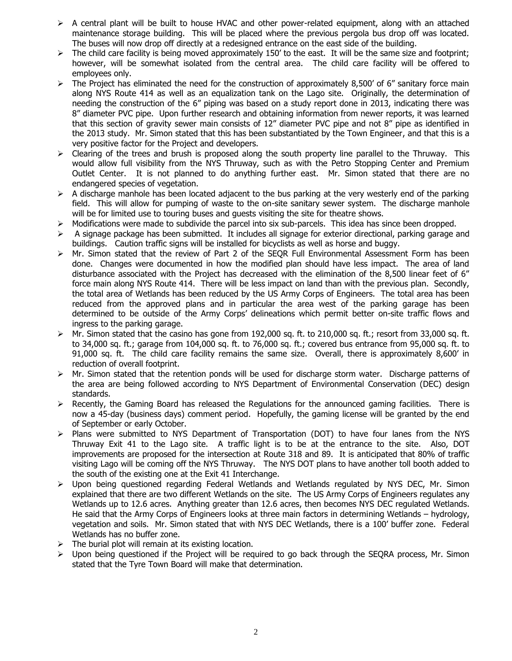- $\triangleright$  A central plant will be built to house HVAC and other power-related equipment, along with an attached maintenance storage building. This will be placed where the previous pergola bus drop off was located. The buses will now drop off directly at a redesigned entrance on the east side of the building.
- $\triangleright$  The child care facility is being moved approximately 150' to the east. It will be the same size and footprint; however, will be somewhat isolated from the central area. The child care facility will be offered to employees only.
- $\triangleright$  The Project has eliminated the need for the construction of approximately 8,500' of 6" sanitary force main along NYS Route 414 as well as an equalization tank on the Lago site. Originally, the determination of needing the construction of the 6" piping was based on a study report done in 2013, indicating there was 8" diameter PVC pipe. Upon further research and obtaining information from newer reports, it was learned that this section of gravity sewer main consists of 12" diameter PVC pipe and not 8" pipe as identified in the 2013 study. Mr. Simon stated that this has been substantiated by the Town Engineer, and that this is a very positive factor for the Project and developers.
- $\triangleright$  Clearing of the trees and brush is proposed along the south property line parallel to the Thruway. This would allow full visibility from the NYS Thruway, such as with the Petro Stopping Center and Premium Outlet Center. It is not planned to do anything further east. Mr. Simon stated that there are no endangered species of vegetation.
- $\triangleright$  A discharge manhole has been located adjacent to the bus parking at the very westerly end of the parking field. This will allow for pumping of waste to the on-site sanitary sewer system. The discharge manhole will be for limited use to touring buses and guests visiting the site for theatre shows.
- $\triangleright$  Modifications were made to subdivide the parcel into six sub-parcels. This idea has since been dropped.
- $\triangleright$  A signage package has been submitted. It includes all signage for exterior directional, parking garage and buildings. Caution traffic signs will be installed for bicyclists as well as horse and buggy.
- $\triangleright$  Mr. Simon stated that the review of Part 2 of the SEQR Full Environmental Assessment Form has been done. Changes were documented in how the modified plan should have less impact. The area of land disturbance associated with the Project has decreased with the elimination of the 8,500 linear feet of 6" force main along NYS Route 414. There will be less impact on land than with the previous plan. Secondly, the total area of Wetlands has been reduced by the US Army Corps of Engineers. The total area has been reduced from the approved plans and in particular the area west of the parking garage has been determined to be outside of the Army Corps' delineations which permit better on-site traffic flows and ingress to the parking garage.
- $\triangleright$  Mr. Simon stated that the casino has gone from 192,000 sq. ft. to 210,000 sq. ft.; resort from 33,000 sq. ft. to 34,000 sq. ft.; garage from 104,000 sq. ft. to 76,000 sq. ft.; covered bus entrance from 95,000 sq. ft. to 91,000 sq. ft. The child care facility remains the same size. Overall, there is approximately 8,600' in reduction of overall footprint.
- $\triangleright$  Mr. Simon stated that the retention ponds will be used for discharge storm water. Discharge patterns of the area are being followed according to NYS Department of Environmental Conservation (DEC) design standards.
- $\triangleright$  Recently, the Gaming Board has released the Regulations for the announced gaming facilities. There is now a 45-day (business days) comment period. Hopefully, the gaming license will be granted by the end of September or early October.
- $\triangleright$  Plans were submitted to NYS Department of Transportation (DOT) to have four lanes from the NYS Thruway Exit 41 to the Lago site. A traffic light is to be at the entrance to the site. Also, DOT improvements are proposed for the intersection at Route 318 and 89. It is anticipated that 80% of traffic visiting Lago will be coming off the NYS Thruway. The NYS DOT plans to have another toll booth added to the south of the existing one at the Exit 41 Interchange.
- $\triangleright$  Upon being questioned regarding Federal Wetlands and Wetlands regulated by NYS DEC, Mr. Simon explained that there are two different Wetlands on the site. The US Army Corps of Engineers regulates any Wetlands up to 12.6 acres. Anything greater than 12.6 acres, then becomes NYS DEC regulated Wetlands. He said that the Army Corps of Engineers looks at three main factors in determining Wetlands – hydrology, vegetation and soils. Mr. Simon stated that with NYS DEC Wetlands, there is a 100' buffer zone. Federal Wetlands has no buffer zone.
- $\triangleright$  The burial plot will remain at its existing location.
- Upon being questioned if the Project will be required to go back through the SEQRA process, Mr. Simon stated that the Tyre Town Board will make that determination.